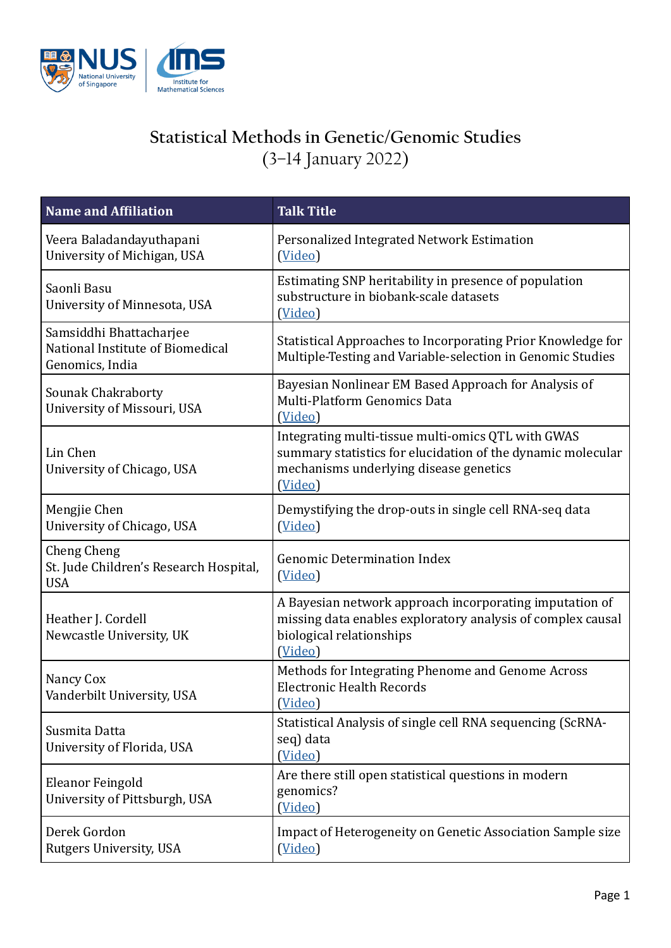

## **Statistical Methods in Genetic/Genomic Studies** (3–14 January 2022)

| Name and Affiliation                                                           | <b>Talk Title</b>                                                                                                                                                      |
|--------------------------------------------------------------------------------|------------------------------------------------------------------------------------------------------------------------------------------------------------------------|
| Veera Baladandayuthapani<br>University of Michigan, USA                        | Personalized Integrated Network Estimation<br>(Video)                                                                                                                  |
| Saonli Basu<br>University of Minnesota, USA                                    | Estimating SNP heritability in presence of population<br>substructure in biobank-scale datasets<br>(Video)                                                             |
| Samsiddhi Bhattacharjee<br>National Institute of Biomedical<br>Genomics, India | Statistical Approaches to Incorporating Prior Knowledge for<br>Multiple-Testing and Variable-selection in Genomic Studies                                              |
| Sounak Chakraborty<br>University of Missouri, USA                              | Bayesian Nonlinear EM Based Approach for Analysis of<br><b>Multi-Platform Genomics Data</b><br>(Video)                                                                 |
| Lin Chen<br>University of Chicago, USA                                         | Integrating multi-tissue multi-omics QTL with GWAS<br>summary statistics for elucidation of the dynamic molecular<br>mechanisms underlying disease genetics<br>(Video) |
| Mengjie Chen<br>University of Chicago, USA                                     | Demystifying the drop-outs in single cell RNA-seq data<br>(Video)                                                                                                      |
| <b>Cheng Cheng</b><br>St. Jude Children's Research Hospital,<br><b>USA</b>     | <b>Genomic Determination Index</b><br>(Video)                                                                                                                          |
| Heather J. Cordell<br>Newcastle University, UK                                 | A Bayesian network approach incorporating imputation of<br>missing data enables exploratory analysis of complex causal<br>biological relationships<br>(Video)          |
| Nancy Cox<br>Vanderbilt University, USA                                        | Methods for Integrating Phenome and Genome Across<br><b>Electronic Health Records</b><br>(Video)                                                                       |
| Susmita Datta<br>University of Florida, USA                                    | Statistical Analysis of single cell RNA sequencing (ScRNA-<br>seq) data<br>(Video)                                                                                     |
| Eleanor Feingold<br>University of Pittsburgh, USA                              | Are there still open statistical questions in modern<br>genomics?<br>(Video)                                                                                           |
| Derek Gordon<br>Rutgers University, USA                                        | Impact of Heterogeneity on Genetic Association Sample size<br>(Video)                                                                                                  |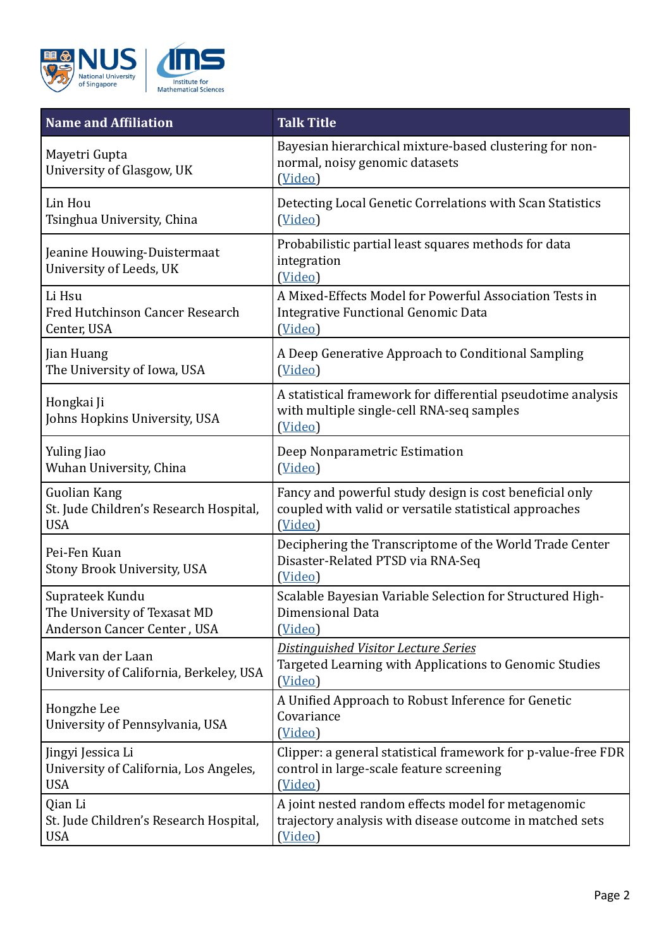

| <b>Name and Affiliation</b>                                  | <b>Talk Title</b>                                                                                                    |
|--------------------------------------------------------------|----------------------------------------------------------------------------------------------------------------------|
| Mayetri Gupta<br>University of Glasgow, UK                   | Bayesian hierarchical mixture-based clustering for non-<br>normal, noisy genomic datasets<br>(Video)                 |
| Lin Hou                                                      | Detecting Local Genetic Correlations with Scan Statistics                                                            |
| Tsinghua University, China                                   | (Video)                                                                                                              |
| Jeanine Houwing-Duistermaat<br>University of Leeds, UK       | Probabilistic partial least squares methods for data<br>integration<br>(Video)                                       |
| Li Hsu                                                       | A Mixed-Effects Model for Powerful Association Tests in                                                              |
| Fred Hutchinson Cancer Research                              | Integrative Functional Genomic Data                                                                                  |
| Center, USA                                                  | (Video)                                                                                                              |
| Jian Huang                                                   | A Deep Generative Approach to Conditional Sampling                                                                   |
| The University of Iowa, USA                                  | (Video)                                                                                                              |
| Hongkai Ji<br>Johns Hopkins University, USA                  | A statistical framework for differential pseudotime analysis<br>with multiple single-cell RNA-seq samples<br>(Video) |
| Yuling Jiao                                                  | Deep Nonparametric Estimation                                                                                        |
| Wuhan University, China                                      | (Video)                                                                                                              |
| <b>Guolian Kang</b>                                          | Fancy and powerful study design is cost beneficial only                                                              |
| St. Jude Children's Research Hospital,                       | coupled with valid or versatile statistical approaches                                                               |
| <b>USA</b>                                                   | (Video)                                                                                                              |
| Pei-Fen Kuan<br>Stony Brook University, USA                  | Deciphering the Transcriptome of the World Trade Center<br>Disaster-Related PTSD via RNA-Seq<br>(Video)              |
| Suprateek Kundu                                              | Scalable Bayesian Variable Selection for Structured High-                                                            |
| The University of Texasat MD                                 | Dimensional Data                                                                                                     |
| Anderson Cancer Center, USA                                  | (Video)                                                                                                              |
| Mark van der Laan<br>University of California, Berkeley, USA | Distinguished Visitor Lecture Series<br>Targeted Learning with Applications to Genomic Studies<br>(Video)            |
| Hongzhe Lee<br>University of Pennsylvania, USA               | A Unified Approach to Robust Inference for Genetic<br>Covariance<br>(Video)                                          |
| Jingyi Jessica Li                                            | Clipper: a general statistical framework for p-value-free FDR                                                        |
| University of California, Los Angeles,                       | control in large-scale feature screening                                                                             |
| <b>USA</b>                                                   | (Video)                                                                                                              |
| Qian Li                                                      | A joint nested random effects model for metagenomic                                                                  |
| St. Jude Children's Research Hospital,                       | trajectory analysis with disease outcome in matched sets                                                             |
| <b>USA</b>                                                   | (Video)                                                                                                              |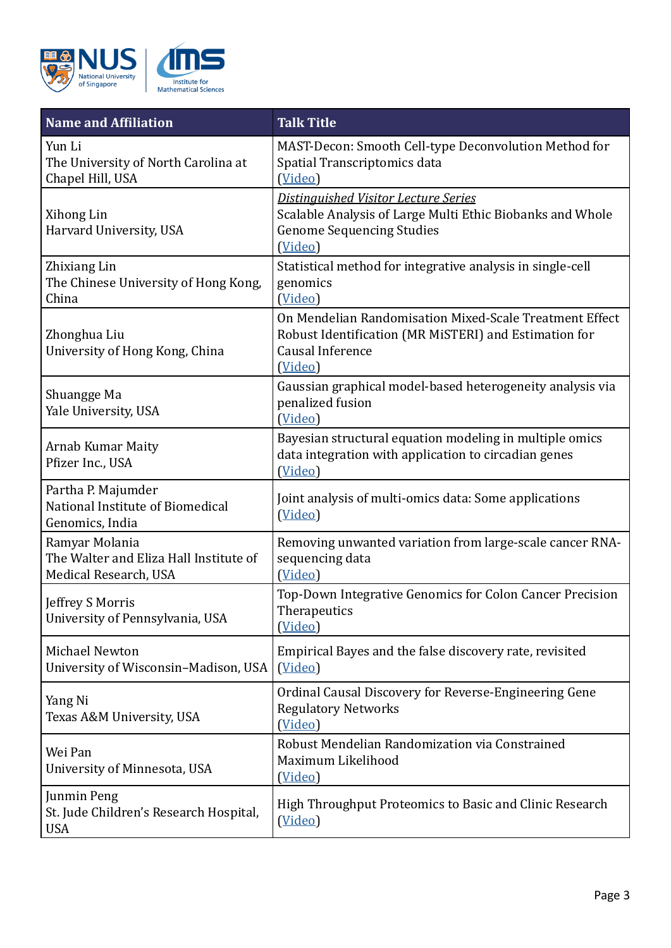

| <b>Name and Affiliation</b>                                                       | <b>Talk Title</b>                                                                                                                                |
|-----------------------------------------------------------------------------------|--------------------------------------------------------------------------------------------------------------------------------------------------|
| Yun Li<br>The University of North Carolina at<br>Chapel Hill, USA                 | MAST-Decon: Smooth Cell-type Deconvolution Method for<br>Spatial Transcriptomics data<br>(Video)                                                 |
| Xihong Lin<br>Harvard University, USA                                             | Distinguished Visitor Lecture Series<br>Scalable Analysis of Large Multi Ethic Biobanks and Whole<br><b>Genome Sequencing Studies</b><br>(Video) |
| Zhixiang Lin<br>The Chinese University of Hong Kong,<br>China                     | Statistical method for integrative analysis in single-cell<br>genomics<br>(Video)                                                                |
| Zhonghua Liu<br>University of Hong Kong, China                                    | On Mendelian Randomisation Mixed-Scale Treatment Effect<br>Robust Identification (MR MiSTERI) and Estimation for<br>Causal Inference<br>(Video)  |
| Shuangge Ma<br>Yale University, USA                                               | Gaussian graphical model-based heterogeneity analysis via<br>penalized fusion<br>(Video)                                                         |
| <b>Arnab Kumar Maity</b><br>Pfizer Inc., USA                                      | Bayesian structural equation modeling in multiple omics<br>data integration with application to circadian genes<br>(Video)                       |
| Partha P. Majumder<br>National Institute of Biomedical<br>Genomics, India         | Joint analysis of multi-omics data: Some applications<br>(Video)                                                                                 |
| Ramyar Molania<br>The Walter and Eliza Hall Institute of<br>Medical Research, USA | Removing unwanted variation from large-scale cancer RNA-<br>sequencing data<br>(Video)                                                           |
| Jeffrey S Morris<br>University of Pennsylvania, USA                               | Top-Down Integrative Genomics for Colon Cancer Precision<br>Therapeutics<br>(Video)                                                              |
| Michael Newton<br>University of Wisconsin-Madison, USA                            | Empirical Bayes and the false discovery rate, revisited<br>(Video)                                                                               |
| Yang Ni<br>Texas A&M University, USA                                              | Ordinal Causal Discovery for Reverse-Engineering Gene<br><b>Regulatory Networks</b><br>(Video)                                                   |
| Wei Pan<br>University of Minnesota, USA                                           | Robust Mendelian Randomization via Constrained<br>Maximum Likelihood<br>(Video)                                                                  |
| Junmin Peng<br>St. Jude Children's Research Hospital,<br><b>USA</b>               | High Throughput Proteomics to Basic and Clinic Research<br>(Video)                                                                               |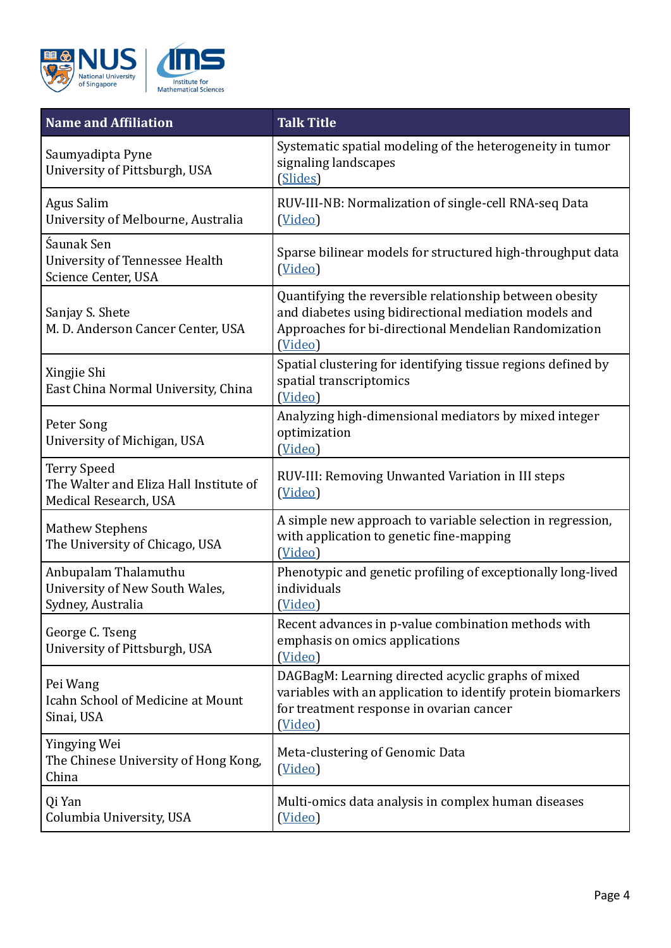

| <b>Name and Affiliation</b>                                                           | <b>Talk Title</b>                                                                                                                                                                    |
|---------------------------------------------------------------------------------------|--------------------------------------------------------------------------------------------------------------------------------------------------------------------------------------|
| Saumyadipta Pyne<br>University of Pittsburgh, USA                                     | Systematic spatial modeling of the heterogeneity in tumor<br>signaling landscapes<br>(Slides)                                                                                        |
| <b>Agus Salim</b><br>University of Melbourne, Australia                               | RUV-III-NB: Normalization of single-cell RNA-seq Data<br>(Video)                                                                                                                     |
| Śaunak Sen<br>University of Tennessee Health<br>Science Center, USA                   | Sparse bilinear models for structured high-throughput data<br>(Video)                                                                                                                |
| Sanjay S. Shete<br>M. D. Anderson Cancer Center, USA                                  | Quantifying the reversible relationship between obesity<br>and diabetes using bidirectional mediation models and<br>Approaches for bi-directional Mendelian Randomization<br>(Video) |
| Xingjie Shi<br>East China Normal University, China                                    | Spatial clustering for identifying tissue regions defined by<br>spatial transcriptomics<br>(Video)                                                                                   |
| Peter Song<br>University of Michigan, USA                                             | Analyzing high-dimensional mediators by mixed integer<br>optimization<br>(Video)                                                                                                     |
| <b>Terry Speed</b><br>The Walter and Eliza Hall Institute of<br>Medical Research, USA | RUV-III: Removing Unwanted Variation in III steps<br>(Video)                                                                                                                         |
| <b>Mathew Stephens</b><br>The University of Chicago, USA                              | A simple new approach to variable selection in regression,<br>with application to genetic fine-mapping<br>(Video)                                                                    |
| Anbupalam Thalamuthu<br>University of New South Wales,<br>Sydney, Australia           | Phenotypic and genetic profiling of exceptionally long-lived<br>individuals<br>(Video)                                                                                               |
| George C. Tseng<br>University of Pittsburgh, USA                                      | Recent advances in p-value combination methods with<br>emphasis on omics applications<br>(Video)                                                                                     |
| Pei Wang<br>Icahn School of Medicine at Mount<br>Sinai, USA                           | DAGBagM: Learning directed acyclic graphs of mixed<br>variables with an application to identify protein biomarkers<br>for treatment response in ovarian cancer<br>(Video)            |
| Yingying Wei<br>The Chinese University of Hong Kong,<br>China                         | Meta-clustering of Genomic Data<br>(Video)                                                                                                                                           |
| Qi Yan<br>Columbia University, USA                                                    | Multi-omics data analysis in complex human diseases<br>(Video)                                                                                                                       |